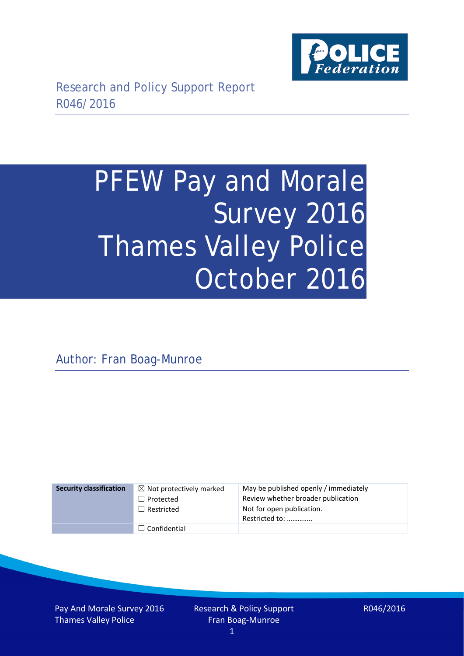

# PFEW Pay and Morale Survey 2016 Thames Valley Police October 2016

Author: Fran Boag-Munroe

| <b>Security classification</b> | $\boxtimes$ Not protectively marked | May be published openly / immediately       |
|--------------------------------|-------------------------------------|---------------------------------------------|
|                                | $\Box$ Protected                    | Review whether broader publication          |
|                                | $\Box$ Restricted                   | Not for open publication.<br>Restricted to: |
|                                | $\Box$ Confidential                 |                                             |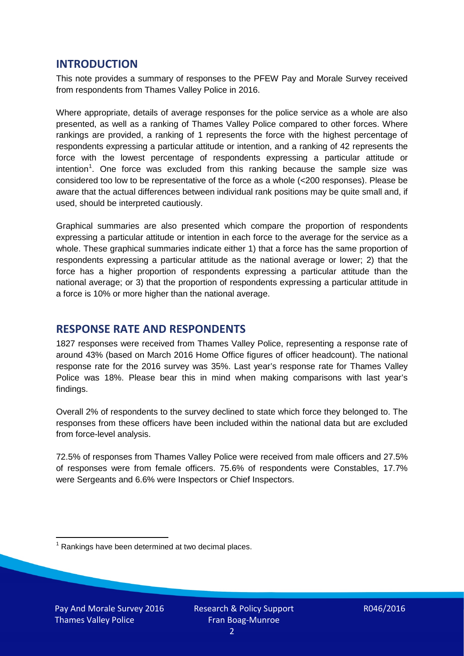## **INTRODUCTION**

This note provides a summary of responses to the PFEW Pay and Morale Survey received from respondents from Thames Valley Police in 2016.

Where appropriate, details of average responses for the police service as a whole are also presented, as well as a ranking of Thames Valley Police compared to other forces. Where rankings are provided, a ranking of 1 represents the force with the highest percentage of respondents expressing a particular attitude or intention, and a ranking of 42 represents the force with the lowest percentage of respondents expressing a particular attitude or intention<sup>[1](#page-1-0)</sup>. One force was excluded from this ranking because the sample size was considered too low to be representative of the force as a whole (<200 responses). Please be aware that the actual differences between individual rank positions may be quite small and, if used, should be interpreted cautiously.

Graphical summaries are also presented which compare the proportion of respondents expressing a particular attitude or intention in each force to the average for the service as a whole. These graphical summaries indicate either 1) that a force has the same proportion of respondents expressing a particular attitude as the national average or lower; 2) that the force has a higher proportion of respondents expressing a particular attitude than the national average; or 3) that the proportion of respondents expressing a particular attitude in a force is 10% or more higher than the national average.

# **RESPONSE RATE AND RESPONDENTS**

1827 responses were received from Thames Valley Police, representing a response rate of around 43% (based on March 2016 Home Office figures of officer headcount). The national response rate for the 2016 survey was 35%. Last year's response rate for Thames Valley Police was 18%. Please bear this in mind when making comparisons with last year's findings.

Overall 2% of respondents to the survey declined to state which force they belonged to. The responses from these officers have been included within the national data but are excluded from force-level analysis.

72.5% of responses from Thames Valley Police were received from male officers and 27.5% of responses were from female officers. 75.6% of respondents were Constables, 17.7% were Sergeants and 6.6% were Inspectors or Chief Inspectors.

<span id="page-1-0"></span> $1$  Rankings have been determined at two decimal places.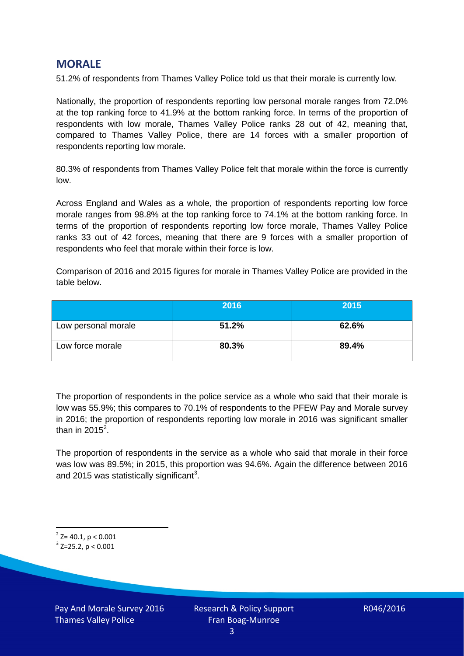## **MORALE**

51.2% of respondents from Thames Valley Police told us that their morale is currently low.

Nationally, the proportion of respondents reporting low personal morale ranges from 72.0% at the top ranking force to 41.9% at the bottom ranking force. In terms of the proportion of respondents with low morale, Thames Valley Police ranks 28 out of 42, meaning that, compared to Thames Valley Police, there are 14 forces with a smaller proportion of respondents reporting low morale.

80.3% of respondents from Thames Valley Police felt that morale within the force is currently low.

Across England and Wales as a whole, the proportion of respondents reporting low force morale ranges from 98.8% at the top ranking force to 74.1% at the bottom ranking force. In terms of the proportion of respondents reporting low force morale, Thames Valley Police ranks 33 out of 42 forces, meaning that there are 9 forces with a smaller proportion of respondents who feel that morale within their force is low.

Comparison of 2016 and 2015 figures for morale in Thames Valley Police are provided in the table below.

|                     | 2016  | 2015  |
|---------------------|-------|-------|
| Low personal morale | 51.2% | 62.6% |
| Low force morale    | 80.3% | 89.4% |

The proportion of respondents in the police service as a whole who said that their morale is low was 55.9%; this compares to 70.1% of respondents to the PFEW Pay and Morale survey in 2016; the proportion of respondents reporting low morale in 2016 was significant smaller than in [2](#page-2-0)015 $^2$ .

The proportion of respondents in the service as a whole who said that morale in their force was low was 89.5%; in 2015, this proportion was 94.6%. Again the difference between 2016 and 2015 was statistically significant<sup>[3](#page-2-1)</sup>.

<span id="page-2-0"></span> $2$ <sup>2</sup> Z= 40.1, p < 0.001

<span id="page-2-1"></span> $3$  Z=25.2, p < 0.001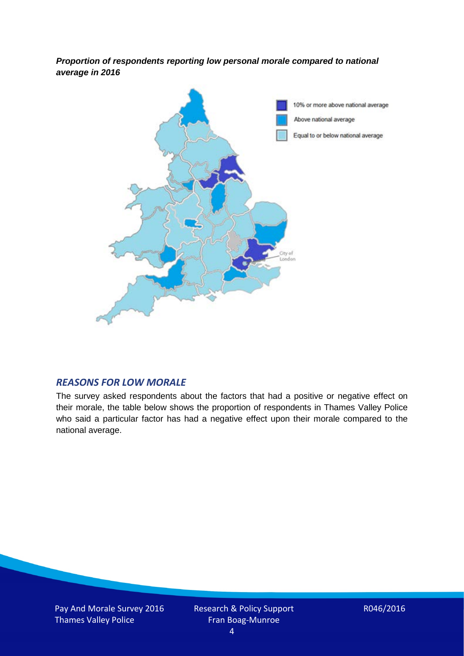*Proportion of respondents reporting low personal morale compared to national average in 2016*



### *REASONS FOR LOW MORALE*

The survey asked respondents about the factors that had a positive or negative effect on their morale, the table below shows the proportion of respondents in Thames Valley Police who said a particular factor has had a negative effect upon their morale compared to the national average.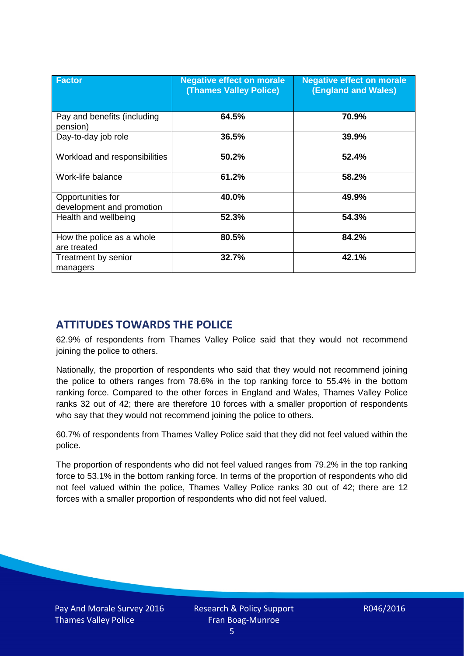| <b>Factor</b>                                  | <b>Negative effect on morale</b><br><b>(Thames Valley Police)</b> | <b>Negative effect on morale</b><br><b>(England and Wales)</b> |
|------------------------------------------------|-------------------------------------------------------------------|----------------------------------------------------------------|
| Pay and benefits (including<br>pension)        | 64.5%                                                             | 70.9%                                                          |
| Day-to-day job role                            | 36.5%                                                             | 39.9%                                                          |
| Workload and responsibilities                  | 50.2%                                                             | 52.4%                                                          |
| Work-life balance                              | 61.2%                                                             | 58.2%                                                          |
| Opportunities for<br>development and promotion | 40.0%                                                             | 49.9%                                                          |
| Health and wellbeing                           | 52.3%                                                             | 54.3%                                                          |
| How the police as a whole<br>are treated       | 80.5%                                                             | 84.2%                                                          |
| Treatment by senior<br>managers                | 32.7%                                                             | 42.1%                                                          |

# **ATTITUDES TOWARDS THE POLICE**

62.9% of respondents from Thames Valley Police said that they would not recommend joining the police to others.

Nationally, the proportion of respondents who said that they would not recommend joining the police to others ranges from 78.6% in the top ranking force to 55.4% in the bottom ranking force. Compared to the other forces in England and Wales, Thames Valley Police ranks 32 out of 42; there are therefore 10 forces with a smaller proportion of respondents who say that they would not recommend joining the police to others.

60.7% of respondents from Thames Valley Police said that they did not feel valued within the police.

The proportion of respondents who did not feel valued ranges from 79.2% in the top ranking force to 53.1% in the bottom ranking force. In terms of the proportion of respondents who did not feel valued within the police, Thames Valley Police ranks 30 out of 42; there are 12 forces with a smaller proportion of respondents who did not feel valued.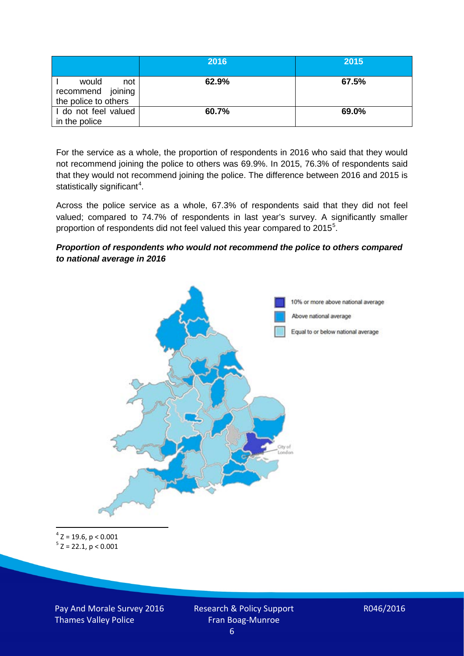|                                                           | 2016  | 2015  |
|-----------------------------------------------------------|-------|-------|
| would<br>not<br>recommend joining<br>the police to others | 62.9% | 67.5% |
| I do not feel valued<br>in the police                     | 60.7% | 69.0% |

For the service as a whole, the proportion of respondents in 2016 who said that they would not recommend joining the police to others was 69.9%. In 2015, 76.3% of respondents said that they would not recommend joining the police. The difference between 2016 and 2015 is statistically significant<sup>[4](#page-5-0)</sup>.

Across the police service as a whole, 67.3% of respondents said that they did not feel valued; compared to 74.7% of respondents in last year's survey. A significantly smaller proportion of respondents did not feel valued this year compared to 201[5](#page-5-1)<sup>5</sup>.

#### *Proportion of respondents who would not recommend the police to others compared to national average in 2016*



<span id="page-5-1"></span><span id="page-5-0"></span> $4$  Z = 19.6, p < 0.001  $5$  Z = 22.1, p < 0.001

Pay And Morale Survey 2016 Thames Valley Police

Research & Policy Support Fran Boag-Munroe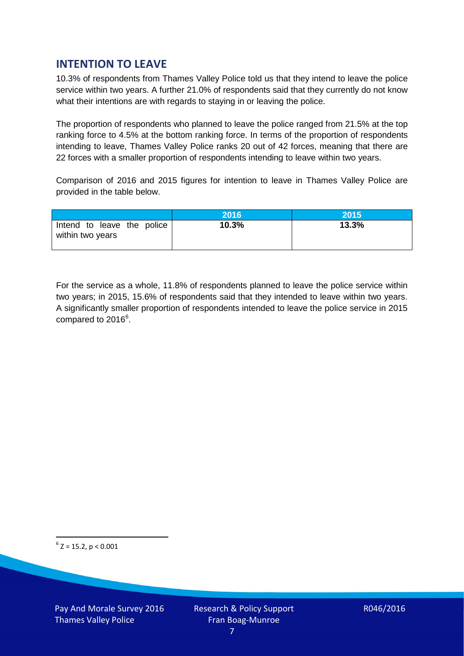# **INTENTION TO LEAVE**

10.3% of respondents from Thames Valley Police told us that they intend to leave the police service within two years. A further 21.0% of respondents said that they currently do not know what their intentions are with regards to staying in or leaving the police.

The proportion of respondents who planned to leave the police ranged from 21.5% at the top ranking force to 4.5% at the bottom ranking force. In terms of the proportion of respondents intending to leave, Thames Valley Police ranks 20 out of 42 forces, meaning that there are 22 forces with a smaller proportion of respondents intending to leave within two years.

Comparison of 2016 and 2015 figures for intention to leave in Thames Valley Police are provided in the table below.

|                                                | 2016  | 2015  |
|------------------------------------------------|-------|-------|
| Intend to leave the police<br>within two years | 10.3% | 13.3% |

For the service as a whole, 11.8% of respondents planned to leave the police service within two years; in 2015, 15.6% of respondents said that they intended to leave within two years. A significantly smaller proportion of respondents intended to leave the police service in 2015 compared to 201[6](#page-6-0)<sup>6</sup>.

<span id="page-6-0"></span> $6$  Z = 15.2, p < 0.001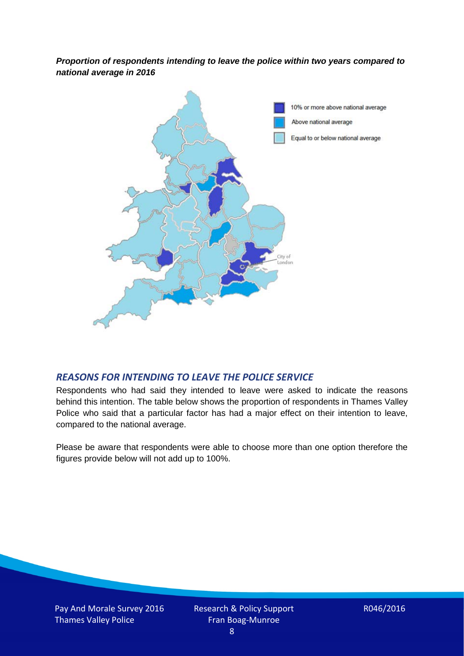*Proportion of respondents intending to leave the police within two years compared to national average in 2016*



# *REASONS FOR INTENDING TO LEAVE THE POLICE SERVICE*

Respondents who had said they intended to leave were asked to indicate the reasons behind this intention. The table below shows the proportion of respondents in Thames Valley Police who said that a particular factor has had a major effect on their intention to leave, compared to the national average.

Please be aware that respondents were able to choose more than one option therefore the figures provide below will not add up to 100%.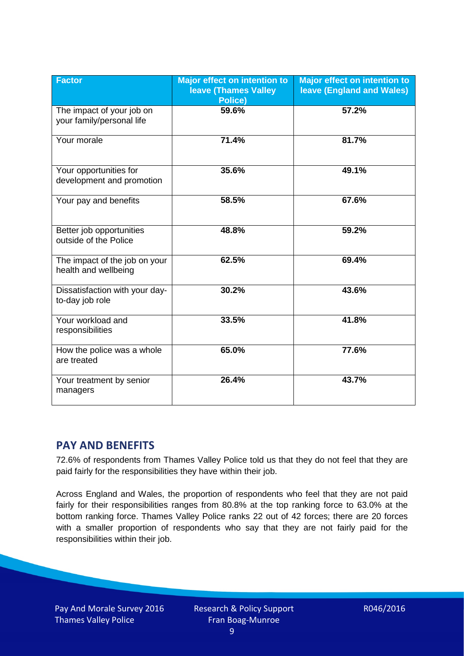| <b>Factor</b>                                          | <b>Major effect on intention to</b><br><b>Ieave (Thames Valley</b><br>Police) | <b>Major effect on intention to</b><br><b>leave (England and Wales)</b> |
|--------------------------------------------------------|-------------------------------------------------------------------------------|-------------------------------------------------------------------------|
| The impact of your job on<br>your family/personal life | 59.6%                                                                         | 57.2%                                                                   |
| Your morale                                            | 71.4%                                                                         | 81.7%                                                                   |
| Your opportunities for<br>development and promotion    | 35.6%                                                                         | 49.1%                                                                   |
| Your pay and benefits                                  | 58.5%                                                                         | 67.6%                                                                   |
| Better job opportunities<br>outside of the Police      | 48.8%                                                                         | 59.2%                                                                   |
| The impact of the job on your<br>health and wellbeing  | 62.5%                                                                         | 69.4%                                                                   |
| Dissatisfaction with your day-<br>to-day job role      | 30.2%                                                                         | 43.6%                                                                   |
| Your workload and<br>responsibilities                  | 33.5%                                                                         | 41.8%                                                                   |
| How the police was a whole<br>are treated              | 65.0%                                                                         | 77.6%                                                                   |
| Your treatment by senior<br>managers                   | 26.4%                                                                         | 43.7%                                                                   |

# **PAY AND BENEFITS**

72.6% of respondents from Thames Valley Police told us that they do not feel that they are paid fairly for the responsibilities they have within their job.

Across England and Wales, the proportion of respondents who feel that they are not paid fairly for their responsibilities ranges from 80.8% at the top ranking force to 63.0% at the bottom ranking force. Thames Valley Police ranks 22 out of 42 forces; there are 20 forces with a smaller proportion of respondents who say that they are not fairly paid for the responsibilities within their job.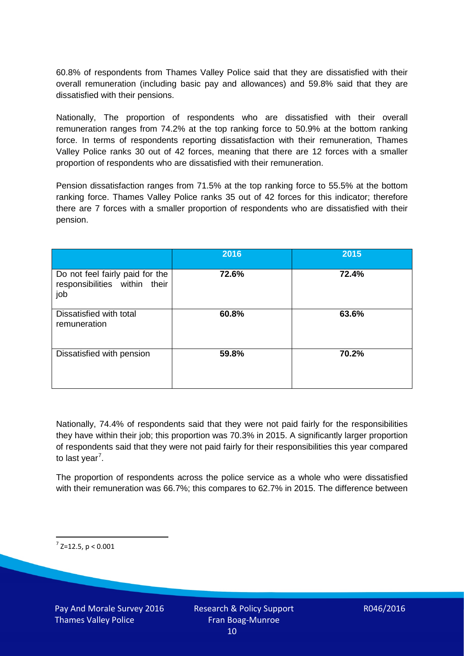60.8% of respondents from Thames Valley Police said that they are dissatisfied with their overall remuneration (including basic pay and allowances) and 59.8% said that they are dissatisfied with their pensions.

Nationally, The proportion of respondents who are dissatisfied with their overall remuneration ranges from 74.2% at the top ranking force to 50.9% at the bottom ranking force. In terms of respondents reporting dissatisfaction with their remuneration, Thames Valley Police ranks 30 out of 42 forces, meaning that there are 12 forces with a smaller proportion of respondents who are dissatisfied with their remuneration.

Pension dissatisfaction ranges from 71.5% at the top ranking force to 55.5% at the bottom ranking force. Thames Valley Police ranks 35 out of 42 forces for this indicator; therefore there are 7 forces with a smaller proportion of respondents who are dissatisfied with their pension.

|                                                                         | 2016  | 2015  |
|-------------------------------------------------------------------------|-------|-------|
| Do not feel fairly paid for the<br>responsibilities within their<br>job | 72.6% | 72.4% |
| Dissatisfied with total<br>remuneration                                 | 60.8% | 63.6% |
| Dissatisfied with pension                                               | 59.8% | 70.2% |

Nationally, 74.4% of respondents said that they were not paid fairly for the responsibilities they have within their job; this proportion was 70.3% in 2015. A significantly larger proportion of respondents said that they were not paid fairly for their responsibilities this year compared to last year<sup>[7](#page-9-0)</sup>.

The proportion of respondents across the police service as a whole who were dissatisfied with their remuneration was 66.7%; this compares to 62.7% in 2015. The difference between

<span id="page-9-0"></span> $7$  Z=12.5, p < 0.001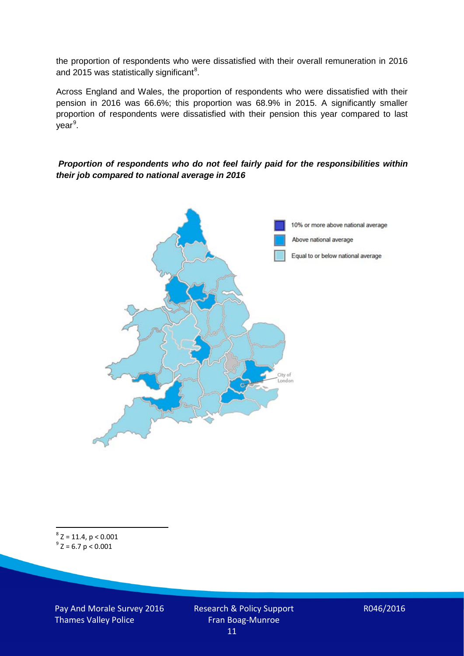the proportion of respondents who were dissatisfied with their overall remuneration in 2016 and 2015 was statistically significant<sup>[8](#page-10-0)</sup>.

Across England and Wales, the proportion of respondents who were dissatisfied with their pension in 2016 was 66.6%; this proportion was 68.9% in 2015. A significantly smaller proportion of respondents were dissatisfied with their pension this year compared to last year<sup>[9](#page-10-1)</sup>.

#### *Proportion of respondents who do not feel fairly paid for the responsibilities within their job compared to national average in 2016*



<span id="page-10-1"></span><span id="page-10-0"></span> $8$  Z = 11.4, p < 0.001  $^{9}$  Z = 6.7 p < 0.001

Pay And Morale Survey 2016 Thames Valley Police

Research & Policy Support Fran Boag-Munroe 11